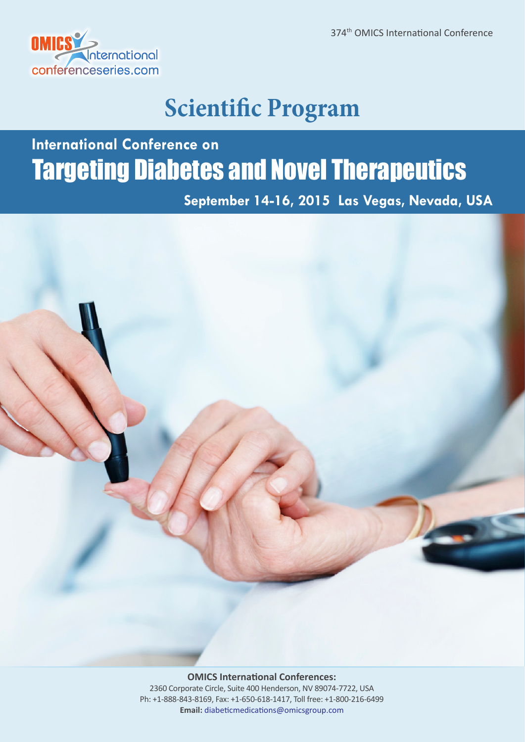

### **Scientific Program**

## Targeting Diabetes and Novel Therapeutics **International Conference on**

**September 14-16, 2015 Las Vegas, Nevada, USA**



**OMICS International Conferences:** 2360 Corporate Circle, Suite 400 Henderson, NV 89074-7722, USA Ph: +1-888-843-8169, Fax: +1-650-618-1417, Toll free: +1-800-216-6499 **Email:** diabeticmedications@omicsgroup.com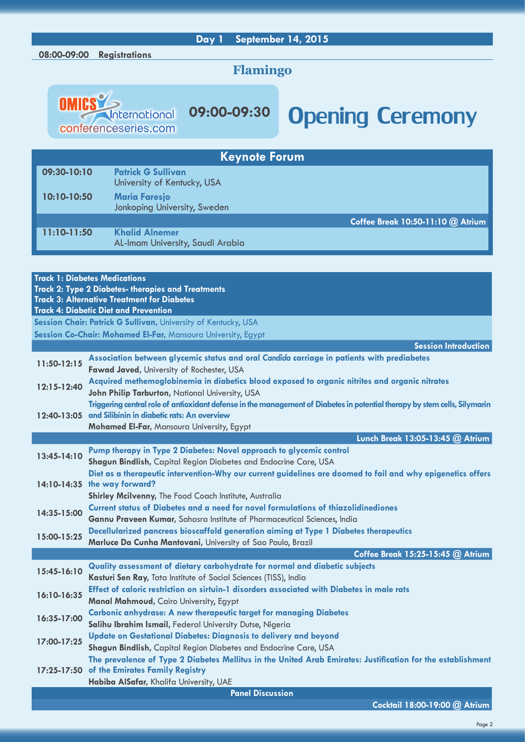#### **Day 1 September 14, 2015**

### **Flamingo**



### Opening Ceremony **09:00-09:30**

|               | <b>Keynote Forum</b>                                      |                                   |
|---------------|-----------------------------------------------------------|-----------------------------------|
| 09:30-10:10   | <b>Patrick G Sullivan</b><br>University of Kentucky, USA  |                                   |
| 10:10-10:50   | <b>Maria Faresjo</b><br>Jonkoping University, Sweden      |                                   |
|               |                                                           | Coffee Break 10:50-11:10 @ Atrium |
| $11:10-11:50$ | <b>Khalid Alnemer</b><br>AL-Imam University, Saudi Arabia |                                   |
|               |                                                           |                                   |

| <b>Track 1: Diabetes Medications</b><br><b>Track 2: Type 2 Diabetes- therapies and Treatments</b><br><b>Track 3: Alternative Treatment for Diabetes</b> |                                                                                                                                         |  |
|---------------------------------------------------------------------------------------------------------------------------------------------------------|-----------------------------------------------------------------------------------------------------------------------------------------|--|
| <b>Track 4: Diabetic Diet and Prevention</b>                                                                                                            |                                                                                                                                         |  |
| Session Chair: Patrick G Sullivan, University of Kentucky, USA                                                                                          |                                                                                                                                         |  |
|                                                                                                                                                         | Session Co-Chair: Mohamed El-Far, Mansoura University, Egypt                                                                            |  |
|                                                                                                                                                         | <b>Session Introduction</b>                                                                                                             |  |
| $11:50-12:15$                                                                                                                                           | Association between glycemic status and oral Candida carriage in patients with prediabetes                                              |  |
|                                                                                                                                                         | Fawad Javed, University of Rochester, USA                                                                                               |  |
| 12:15-12:40                                                                                                                                             | Acquired methemoglobinemia in diabetics blood exposed to organic nitrites and organic nitrates                                          |  |
|                                                                                                                                                         | John Philip Tarburton, National University, USA                                                                                         |  |
|                                                                                                                                                         | Triggering central role of antioxidant defense in the management of Diabetes in potential therapy by stem cells, Silymarin              |  |
|                                                                                                                                                         | 12:40-13:05 and Silibinin in diabetic rats: An overview                                                                                 |  |
|                                                                                                                                                         | <b>Mohamed El-Far, Mansoura University, Egypt</b>                                                                                       |  |
|                                                                                                                                                         | Lunch Break 13:05-13:45 @ Atrium                                                                                                        |  |
| 13:45-14:10                                                                                                                                             | Pump therapy in Type 2 Diabetes: Novel approach to glycemic control<br>Shagun Bindlish, Capital Region Diabetes and Endocrine Care, USA |  |
|                                                                                                                                                         | Diet as a therapeutic intervention-Why our current guidelines are doomed to fail and why epigenetics offers                             |  |
|                                                                                                                                                         | 14:10-14:35 the way forward?                                                                                                            |  |
|                                                                                                                                                         | Shirley Mcilvenny, The Food Coach Institute, Australia                                                                                  |  |
| 14:35-15:00                                                                                                                                             | Current status of Diabetes and a need for novel formulations of thiazolidinediones                                                      |  |
|                                                                                                                                                         | Gannu Praveen Kumar, Sahasra Institute of Pharmaceutical Sciences, India                                                                |  |
|                                                                                                                                                         | Decellularized pancreas bioscaffold generation aiming at Type 1 Diabetes therapeutics                                                   |  |
| 15:00-15:25                                                                                                                                             | Marluce Da Cunha Mantovani, University of Sao Paulo, Brazil                                                                             |  |
|                                                                                                                                                         | Coffee Break 15:25-15:45 @ Atrium                                                                                                       |  |
| 15:45-16:10                                                                                                                                             | Quality assessment of dietary carbohydrate for normal and diabetic subjects                                                             |  |
|                                                                                                                                                         | Kasturi Sen Ray, Tata Institute of Social Sciences (TISS), India                                                                        |  |
| 16:10-16:35                                                                                                                                             | Effect of caloric restriction on sirtuin-1 disorders associated with Diabetes in male rats                                              |  |
|                                                                                                                                                         | Manal Mahmoud, Cairo University, Egypt                                                                                                  |  |
| 16:35-17:00                                                                                                                                             | Carbonic anhydrase: A new therapeutic target for managing Diabetes                                                                      |  |
|                                                                                                                                                         | Salihu Ibrahim Ismail, Federal University Dutse, Nigeria                                                                                |  |
| 17:00-17:25                                                                                                                                             | Update on Gestational Diabetes: Diagnosis to delivery and beyond                                                                        |  |
|                                                                                                                                                         | Shagun Bindlish, Capital Region Diabetes and Endocrine Care, USA                                                                        |  |
|                                                                                                                                                         | The prevalence of Type 2 Diabetes Mellitus in the United Arab Emirates: Justification for the establishment                             |  |
|                                                                                                                                                         | 17:25-17:50 of the Emirates Family Registry<br>Habiba AlSafar, Khalifa University, UAE                                                  |  |
| <b>Panel Discussion</b>                                                                                                                                 |                                                                                                                                         |  |
|                                                                                                                                                         |                                                                                                                                         |  |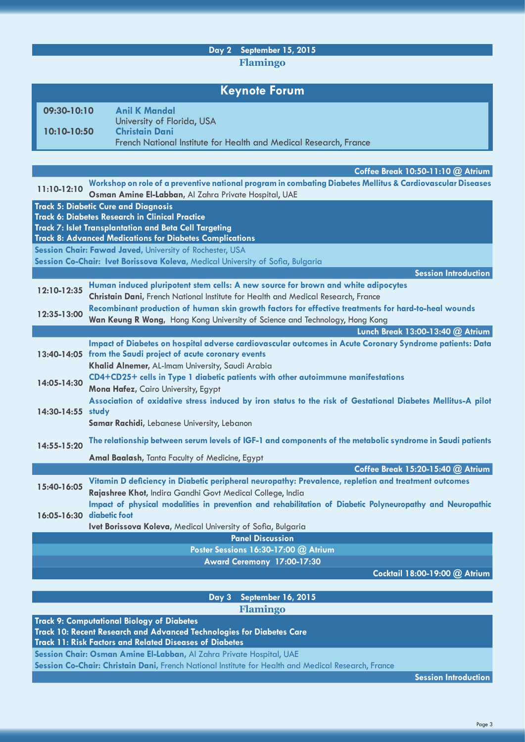#### **Day 2 September 15, 2015 Flamingo**

|                   | <b>Keynote Forum</b>                                                                                                                                                                                                               |
|-------------------|------------------------------------------------------------------------------------------------------------------------------------------------------------------------------------------------------------------------------------|
| 09:30-10:10       | <b>Anil K Mandal</b>                                                                                                                                                                                                               |
| $10:10-10:50$     | University of Florida, USA<br><b>Christain Dani</b>                                                                                                                                                                                |
|                   | French National Institute for Health and Medical Research, France                                                                                                                                                                  |
|                   |                                                                                                                                                                                                                                    |
|                   | Coffee Break 10:50-11:10 @ Atrium                                                                                                                                                                                                  |
| $11:10-12:10$     | Workshop on role of a preventive national program in combating Diabetes Mellitus & Cardiovascular Diseases<br>Osman Amine El-Labban, Al Zahra Private Hospital, UAE                                                                |
|                   | <b>Track 5: Diabetic Cure and Diagnosis</b><br><b>Track 6: Diabetes Research in Clinical Practice</b><br>Track 7: Islet Transplantation and Beta Cell Targeting<br><b>Track 8: Advanced Medications for Diabetes Complications</b> |
|                   | Session Chair: Fawad Javed, University of Rochester, USA                                                                                                                                                                           |
|                   | Session Co-Chair: Ivet Borissova Koleva, Medical University of Sofia, Bulgaria                                                                                                                                                     |
|                   | <b>Session Introduction</b><br>Human induced pluripotent stem cells: A new source for brown and white adipocytes                                                                                                                   |
| 12:10-12:35       | Christain Dani, French National Institute for Health and Medical Research, France                                                                                                                                                  |
| 12:35-13:00       | Recombinant production of human skin growth factors for effective treatments for hard-to-heal wounds                                                                                                                               |
|                   | Wan Keung R Wong, Hong Kong University of Science and Technology, Hong Kong                                                                                                                                                        |
|                   | Lunch Break 13:00-13:40 @ Atrium                                                                                                                                                                                                   |
|                   | Impact of Diabetes on hospital adverse cardiovascular outcomes in Acute Coronary Syndrome patients: Data<br>13:40-14:05 from the Saudi project of acute coronary events                                                            |
|                   | Khalid Alnemer, AL-Imam University, Saudi Arabia                                                                                                                                                                                   |
| 14:05-14:30       | CD4+CD25+ cells in Type 1 diabetic patients with other autoimmune manifestations                                                                                                                                                   |
|                   | Mona Hafez, Cairo University, Egypt                                                                                                                                                                                                |
| 14:30-14:55 study | Association of oxidative stress induced by iron status to the risk of Gestational Diabetes Mellitus-A pilot                                                                                                                        |
|                   | Samar Rachidi, Lebanese University, Lebanon                                                                                                                                                                                        |
| 14:55-15:20       | The relationship between serum levels of IGF-1 and components of the metabolic syndrome in Saudi patients                                                                                                                          |
|                   | Amal Baalash, Tanta Faculty of Medicine, Egypt                                                                                                                                                                                     |
|                   | Coffee Break 15:20-15:40 @ Atrium                                                                                                                                                                                                  |
| 15:40-16:05       | Vitamin D deficiency in Diabetic peripheral neuropathy: Prevalence, repletion and treatment outcomes<br>Rajashree Khot, Indira Gandhi Govt Medical College, India                                                                  |
|                   | Impact of physical modalities in prevention and rehabilitation of Diabetic Polyneuropathy and Neuropathic                                                                                                                          |
| 16:05-16:30       | diabetic foot                                                                                                                                                                                                                      |
|                   | Ivet Borissova Koleva, Medical University of Sofia, Bulgaria<br><b>Panel Discussion</b>                                                                                                                                            |
|                   | Poster Sessions 16:30-17:00 @ Atrium                                                                                                                                                                                               |
|                   | Award Ceremony 17:00-17:30                                                                                                                                                                                                         |
|                   | Cocktail 18:00-19:00 @ Atrium                                                                                                                                                                                                      |
|                   |                                                                                                                                                                                                                                    |
|                   | Day 3 September 16, 2015                                                                                                                                                                                                           |

**Flamingo**

**Track 9: Computational Biology of Diabetes Track 10: Recent Research and Advanced Technologies for Diabetes Care Track 11: Risk Factors and Related Diseases of Diabetes Session Chair: Osman Amine El-Labban,** Al Zahra Private Hospital, UAE

**Session Co-Chair: Christain Dani,** French National Institute for Health and Medical Research, France

**Session Introduction**